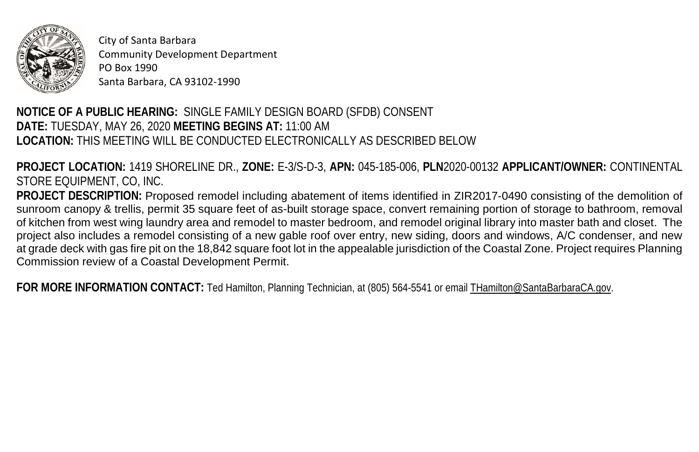

City of Santa Barbara Community Development Department PO Box 1990 Santa Barbara, CA 93102-1990

## **NOTICE OF A PUBLIC HEARING:** SINGLE FAMILY DESIGN BOARD (SFDB) CONSENT  **DATE:** TUESDAY, MAY 26, 2020 **MEETING BEGINS AT:** 11:00 AM **LOCATION:** THIS MEETING WILL BE CONDUCTED ELECTRONICALLY AS DESCRIBED BELOW

 STORE EQUIPMENT, CO, INC. **PROJECT LOCATION:** 1419 SHORELINE DR., **ZONE:** E-3/S-D-3, **APN:** 045-185-006, **PLN**2020-00132 **APPLICANT/OWNER:** CONTINENTAL

 at grade deck with gas fire pit on the 18,842 square foot lot in the appealable jurisdiction of the Coastal Zone. Project requires Planning Commission review of a Coastal Development Permit. **PROJECT DESCRIPTION:** Proposed remodel including abatement of items identified in ZIR2017-0490 consisting of the demolition of sunroom canopy & trellis, permit 35 square feet of as-built storage space, convert remaining portion of storage to bathroom, removal of kitchen from west wing laundry area and remodel to master bedroom, and remodel original library into master bath and closet. The project also includes a remodel consisting of a new gable roof over entry, new siding, doors and windows, A/C condenser, and new

FOR MORE INFORMATION CONTACT: Ted Hamilton, Planning Technician, at (805) 564-5541 or email **THamilton@SantaBarbaraCA.gov.**